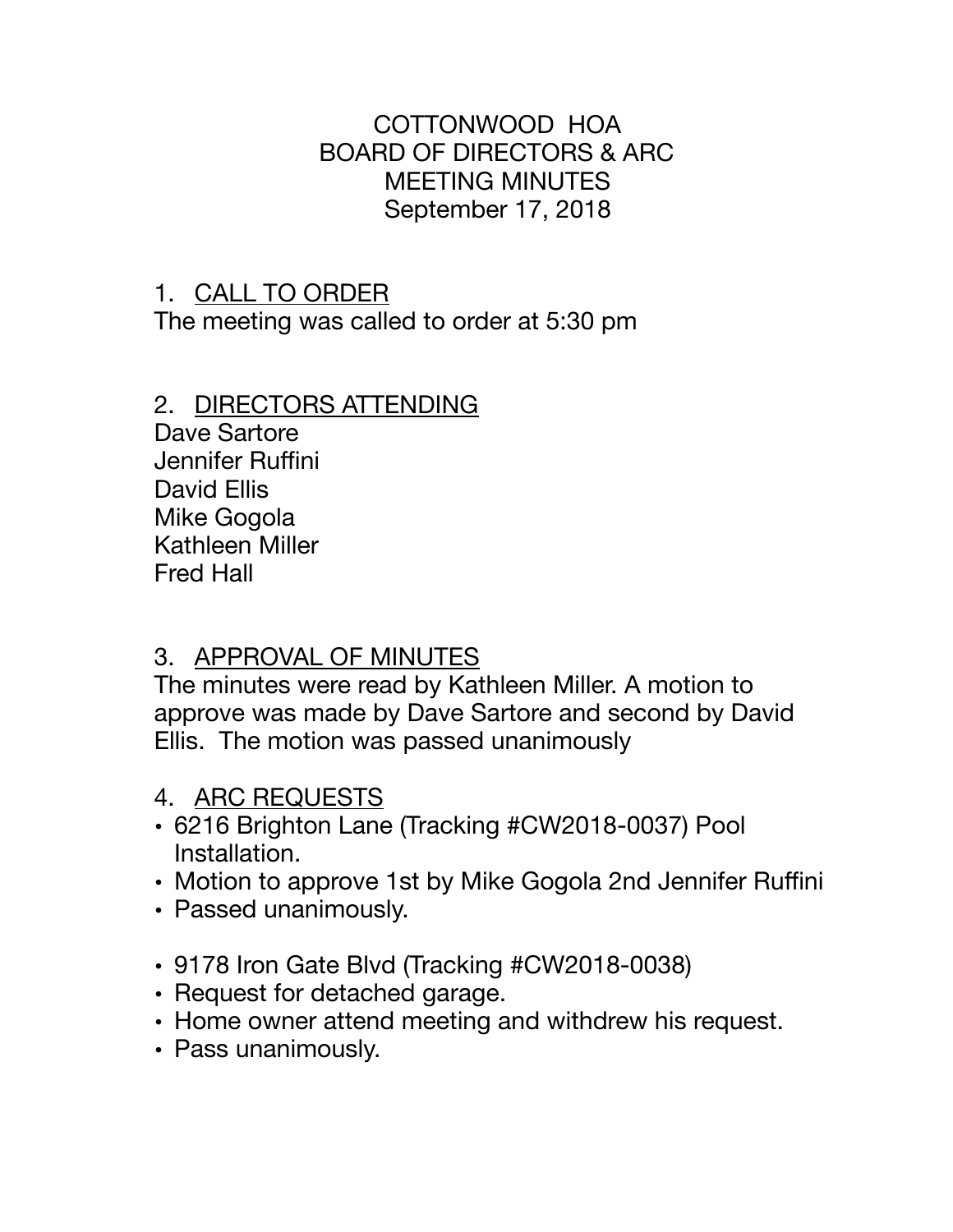### COTTONWOOD HOA BOARD OF DIRECTORS & ARC MEETING MINUTES September 17, 2018

## 1. CALL TO ORDER

The meeting was called to order at 5:30 pm

#### 2. DIRECTORS ATTENDING

Dave Sartore Jennifer Ruffini David Ellis Mike Gogola Kathleen Miller Fred Hall

## 3. APPROVAL OF MINUTES

The minutes were read by Kathleen Miller. A motion to approve was made by Dave Sartore and second by David Ellis. The motion was passed unanimously

- 4. ARC REQUESTS
- 6216 Brighton Lane (Tracking #CW2018-0037) Pool Installation.
- Motion to approve 1st by Mike Gogola 2nd Jennifer Ruffini
- Passed unanimously.
- 9178 Iron Gate Blvd (Tracking #CW2018-0038)
- Request for detached garage.
- Home owner attend meeting and withdrew his request.
- Pass unanimously.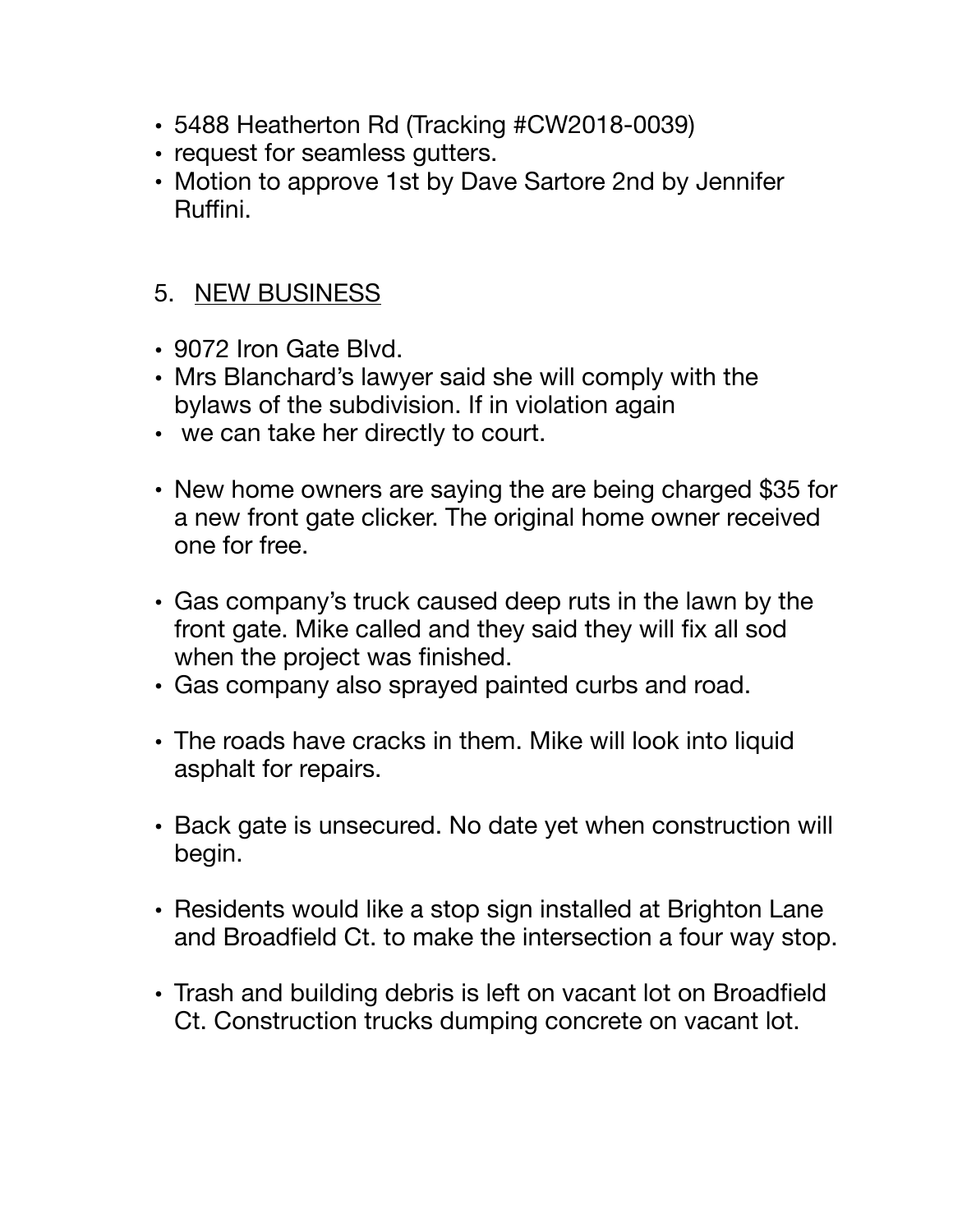- 5488 Heatherton Rd (Tracking #CW2018-0039)
- request for seamless gutters.
- Motion to approve 1st by Dave Sartore 2nd by Jennifer Ruffini.

# 5. NEW BUSINESS

- 9072 Iron Gate Blvd.
- Mrs Blanchard's lawyer said she will comply with the bylaws of the subdivision. If in violation again
- we can take her directly to court.
- New home owners are saying the are being charged \$35 for a new front gate clicker. The original home owner received one for free.
- Gas company's truck caused deep ruts in the lawn by the front gate. Mike called and they said they will fix all sod when the project was finished.
- Gas company also sprayed painted curbs and road.
- The roads have cracks in them. Mike will look into liquid asphalt for repairs.
- Back gate is unsecured. No date yet when construction will begin.
- Residents would like a stop sign installed at Brighton Lane and Broadfield Ct. to make the intersection a four way stop.
- Trash and building debris is left on vacant lot on Broadfield Ct. Construction trucks dumping concrete on vacant lot.